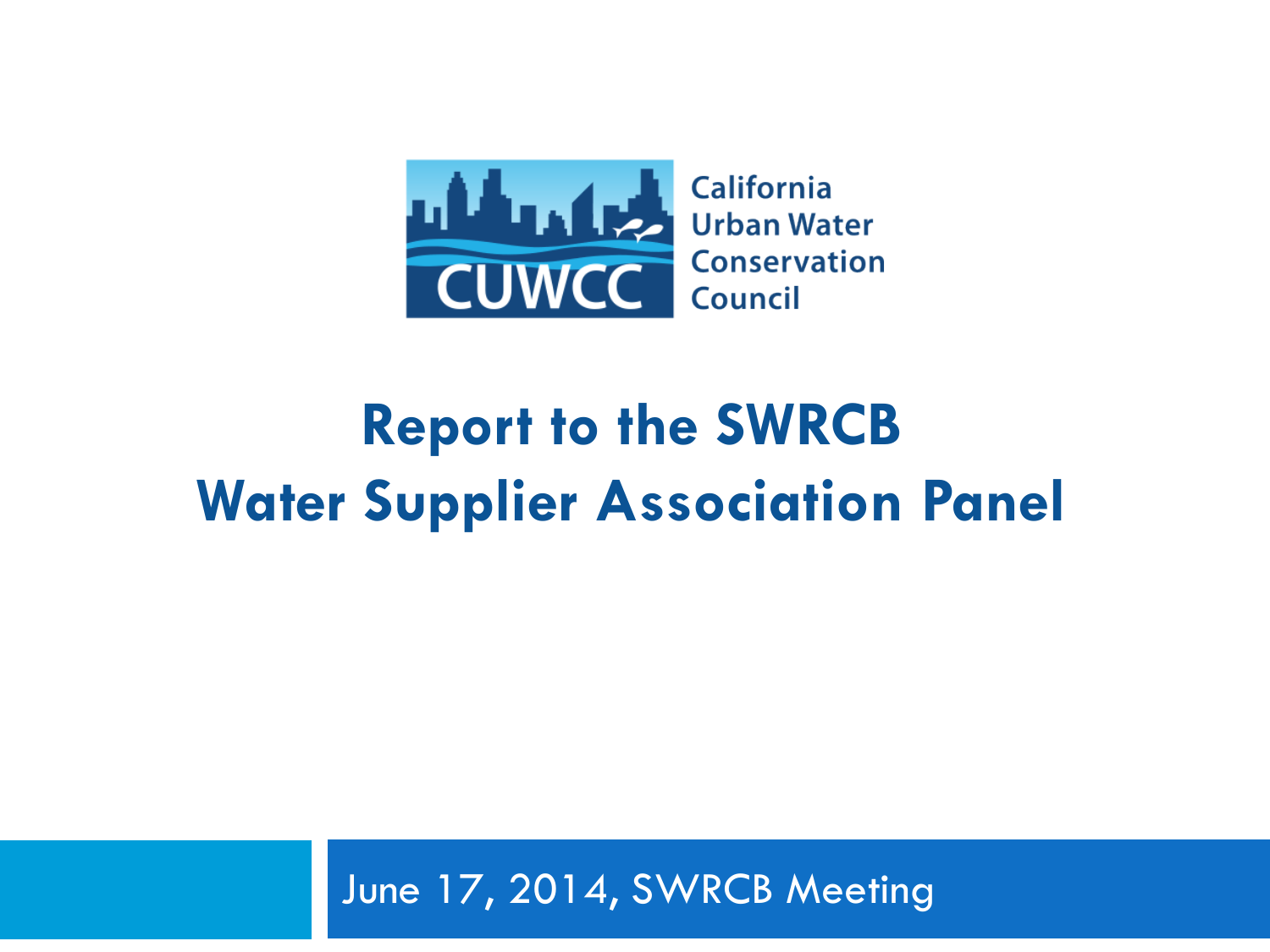

## **Report to the SWRCB Water Supplier Association Panel**

June 17, 2014, SWRCB Meeting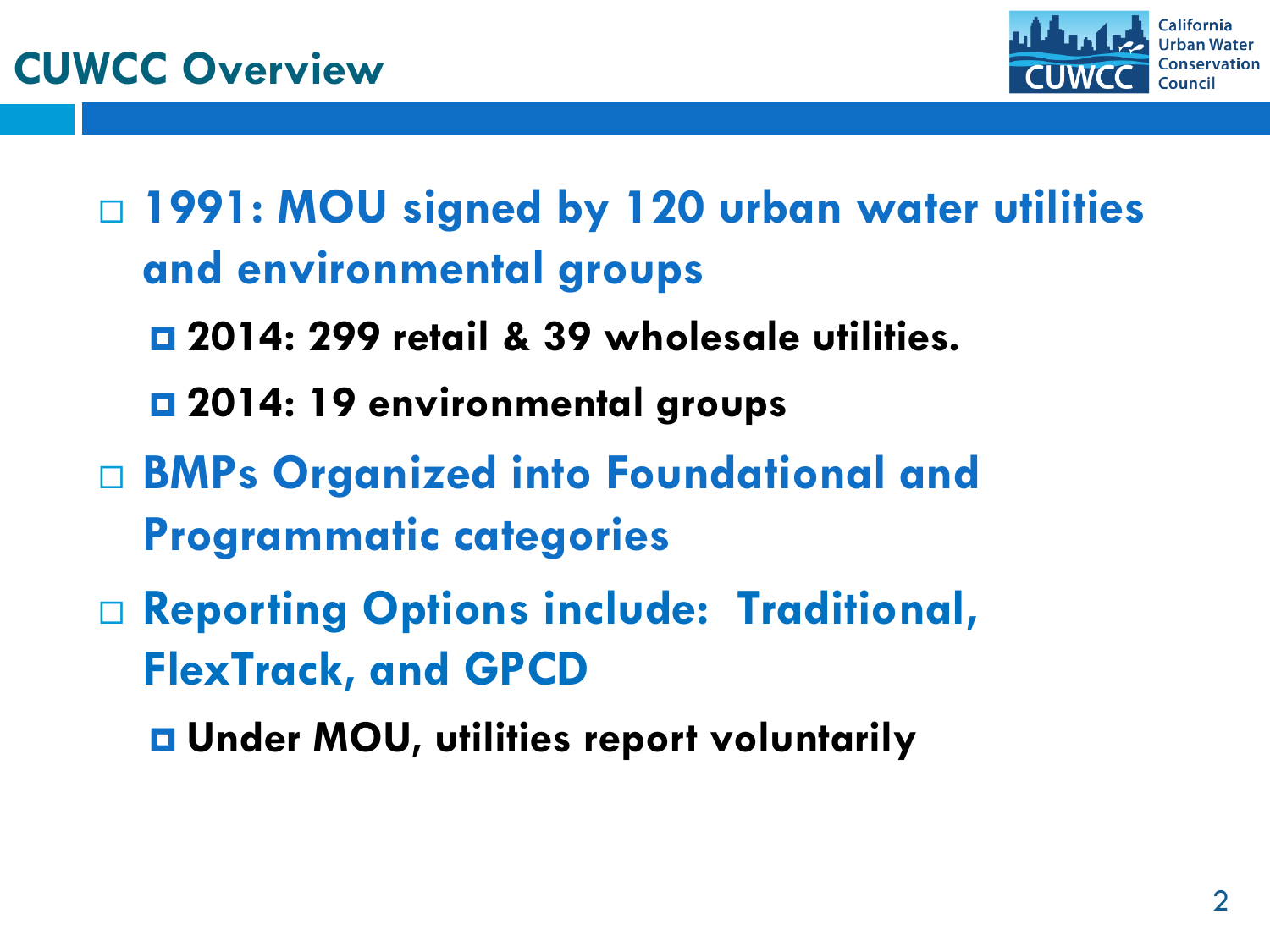

 **1991: MOU signed by 120 urban water utilities and environmental groups** 

- **2014: 299 retail & 39 wholesale utilities.**
- **2014: 19 environmental groups**
- **BMPs Organized into Foundational and Programmatic categories**
- **Reporting Options include: Traditional, FlexTrack, and GPCD**

**Under MOU, utilities report voluntarily**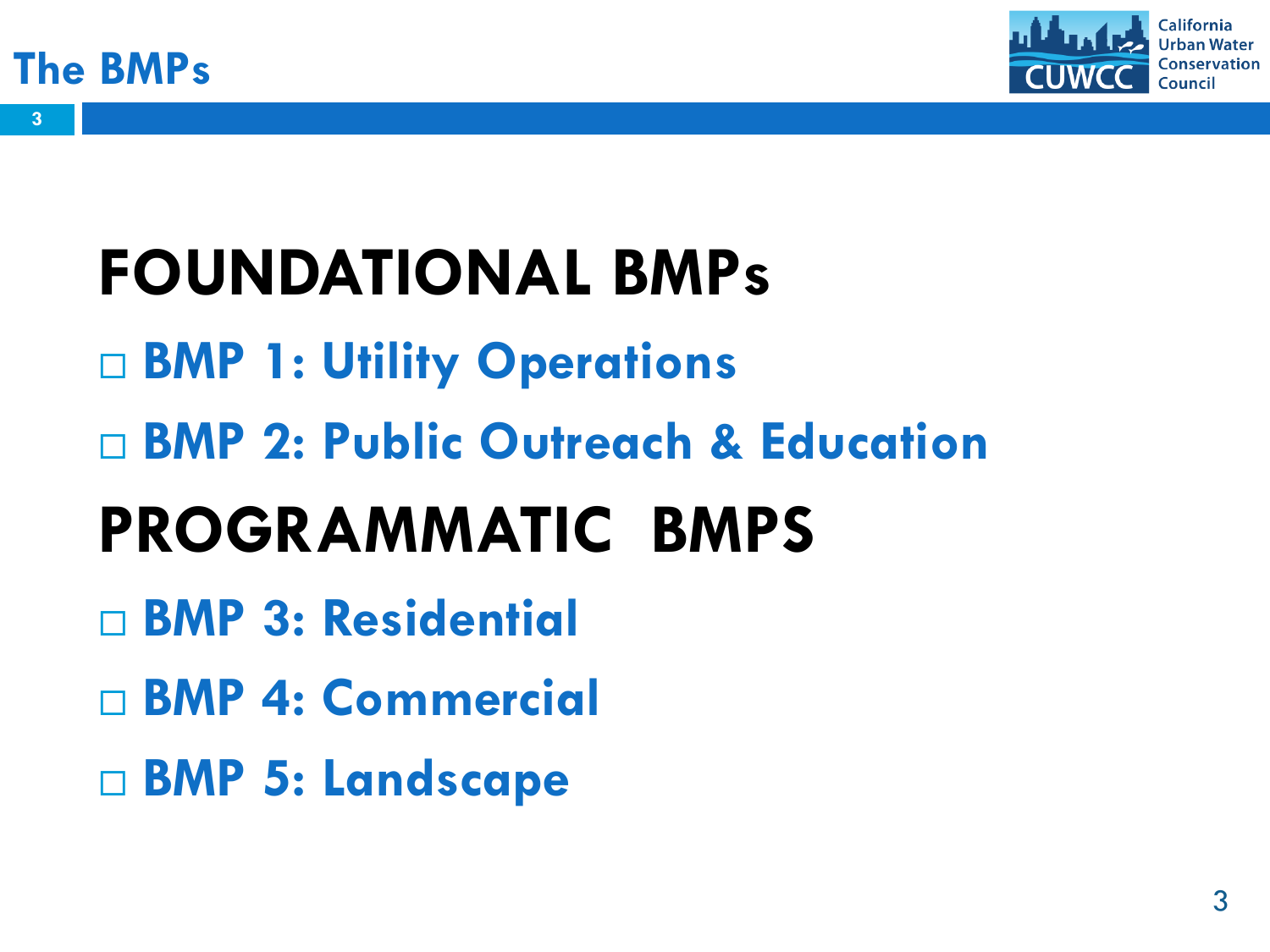

**3**



# **FOUNDATIONAL BMPs BMP 1: Utility Operations BMP 2: Public Outreach & Education PROGRAMMATIC BMPS BMP 3: Residential BMP 4: Commercial**

**BMP 5: Landscape**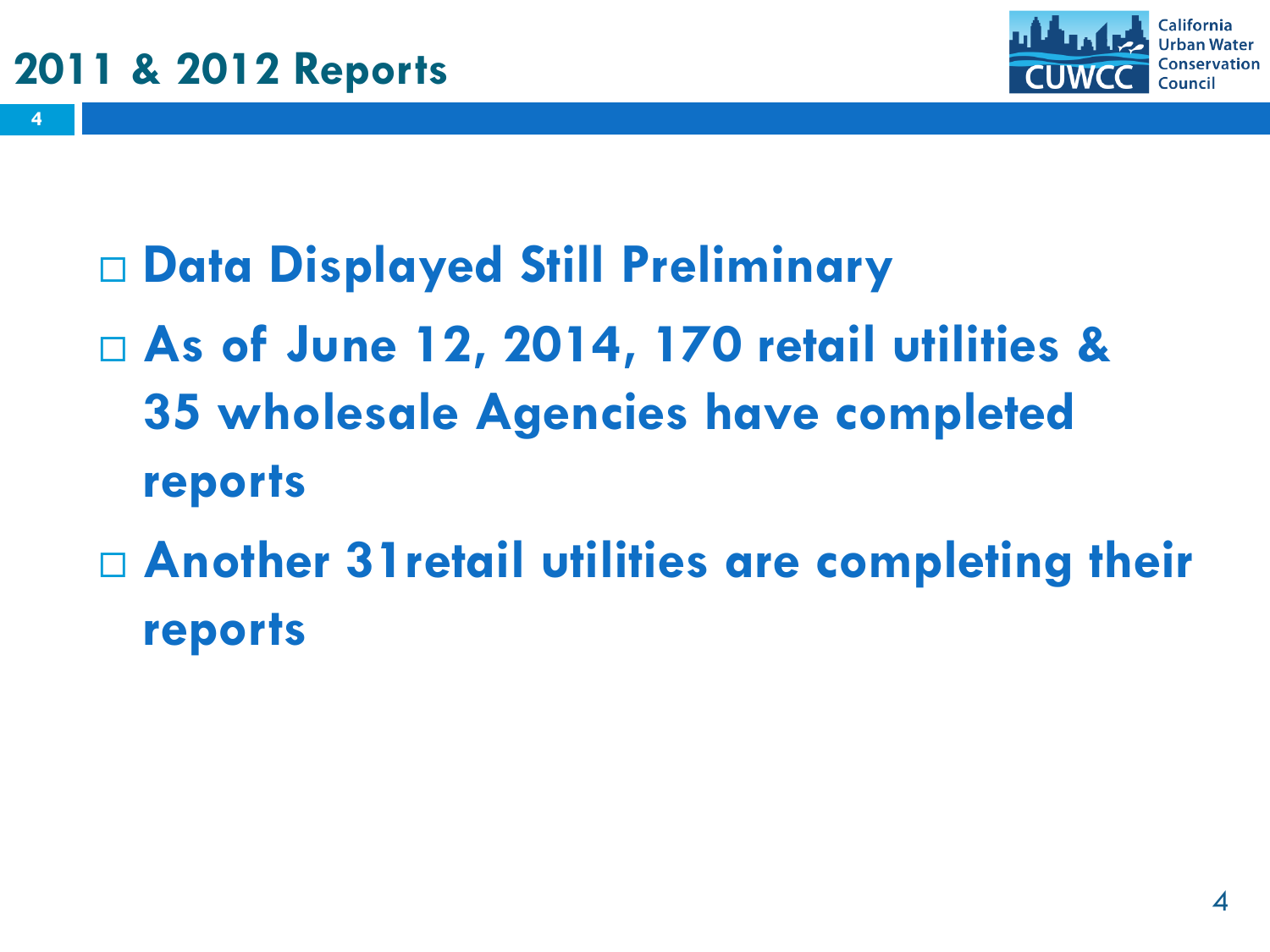**4**



**Data Displayed Still Preliminary**

- **As of June 12, 2014, 170 retail utilities & 35 wholesale Agencies have completed reports**
- **Another 31retail utilities are completing their reports**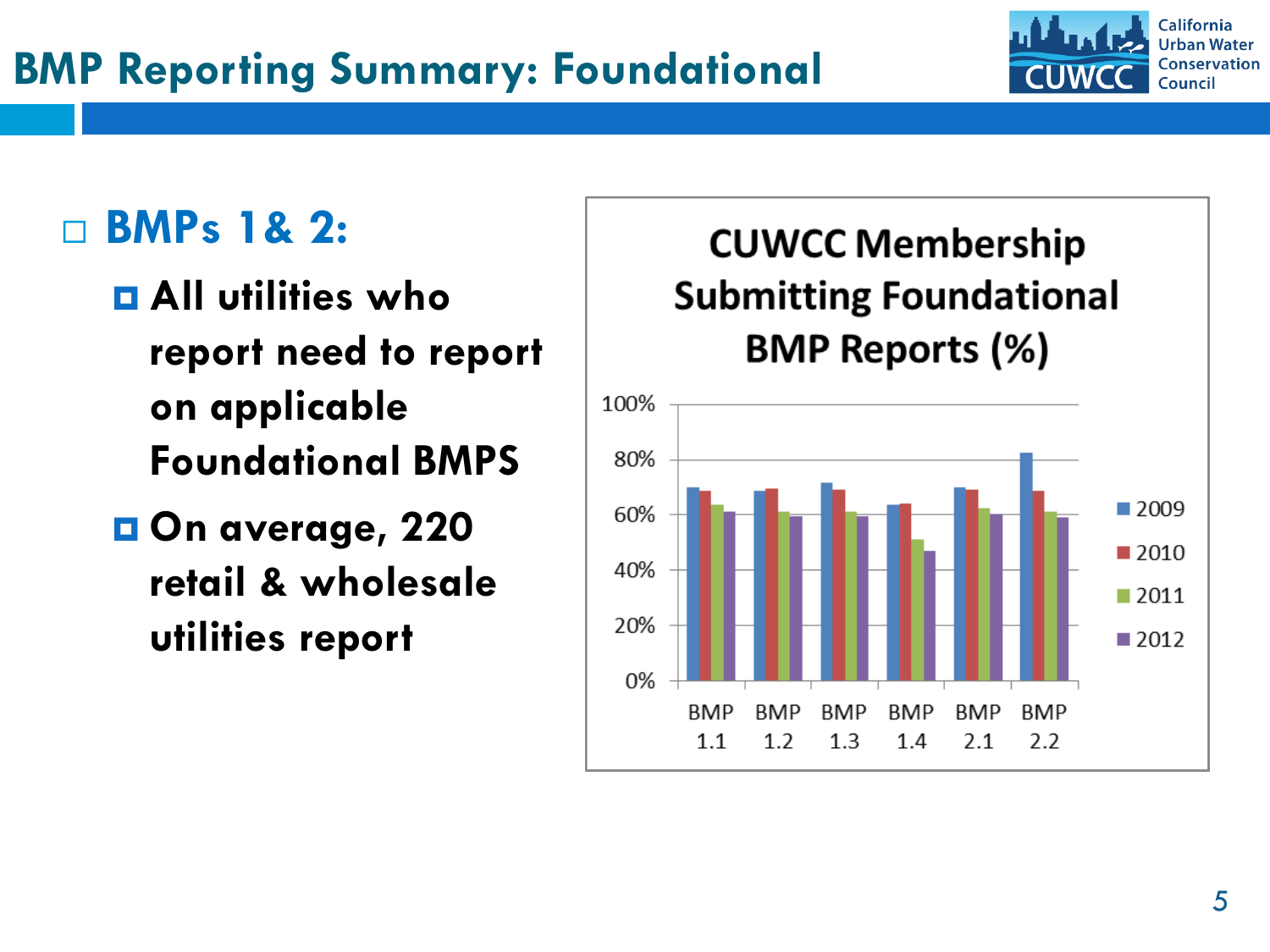

### **BMPs 1& 2:**

- **All utilities who report need to report on applicable Foundational BMPS**
- **On average, 220 retail & wholesale utilities report**

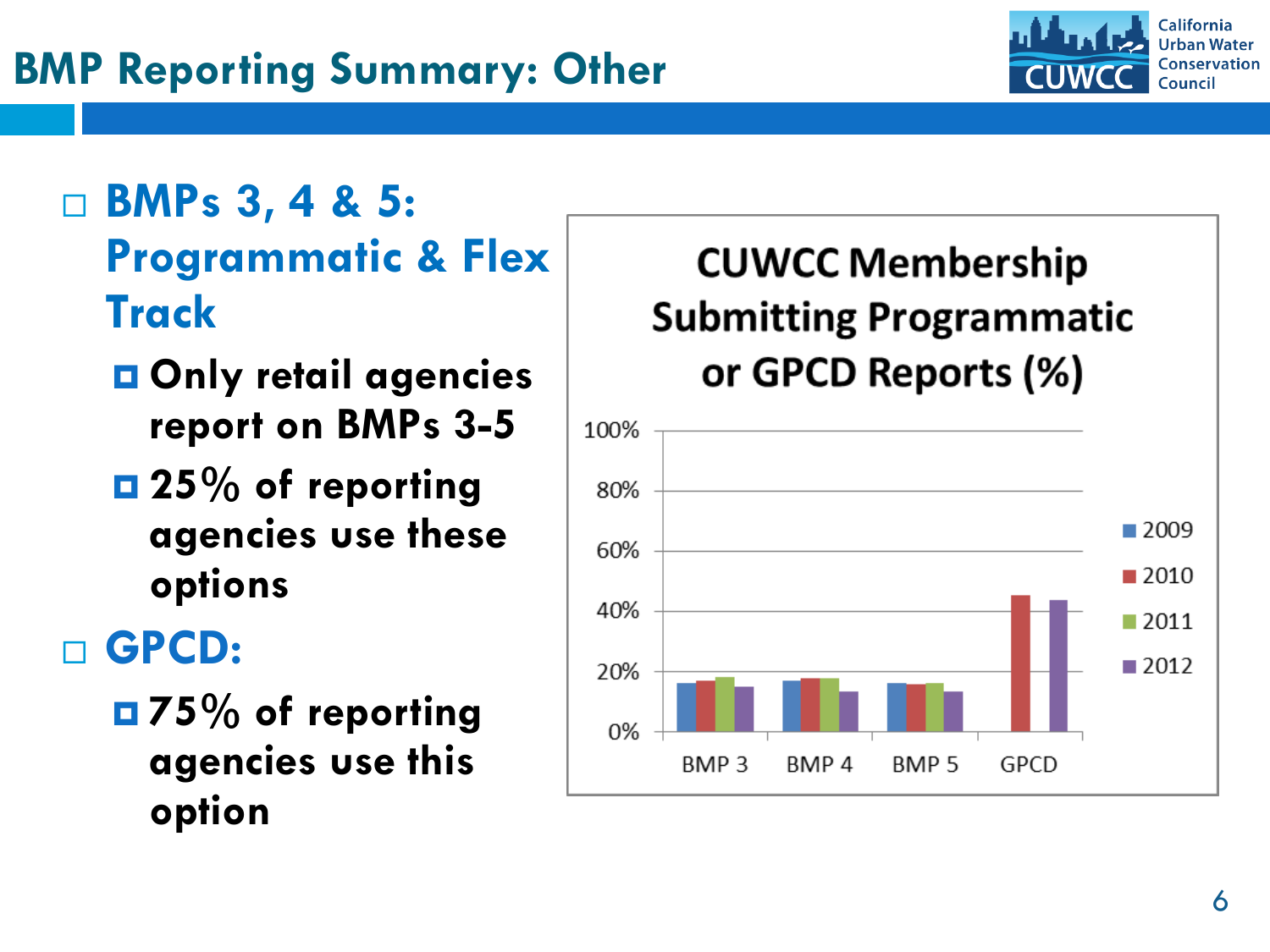

 **BMPs 3, 4 & 5: Programmatic & Flex Track**

- **Only retail agencies report on BMPs 3 - 5**
- **25% of reporting agencies use these options**

## **GPCD:**

 **75% of reporting agencies use this option**

### **CUWCC Membership Submitting Programmatic** or GPCD Reports (%)

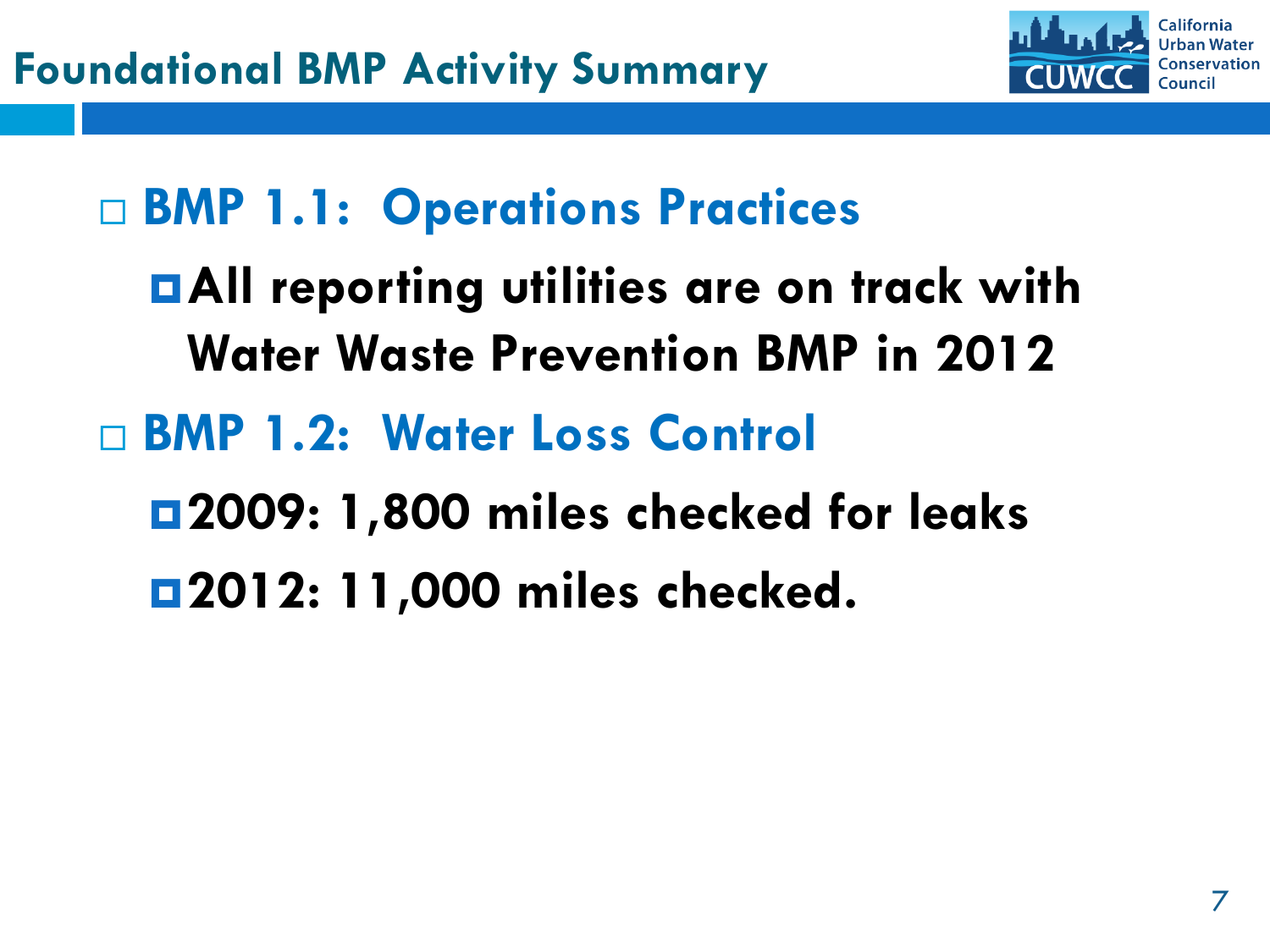

## **BMP 1.1: Operations Practices**

## **All reporting utilities are on track with Water Waste Prevention BMP in 2012**

## **BMP 1.2: Water Loss Control**

**2009: 1,800 miles checked for leaks**

**2012: 11,000 miles checked.**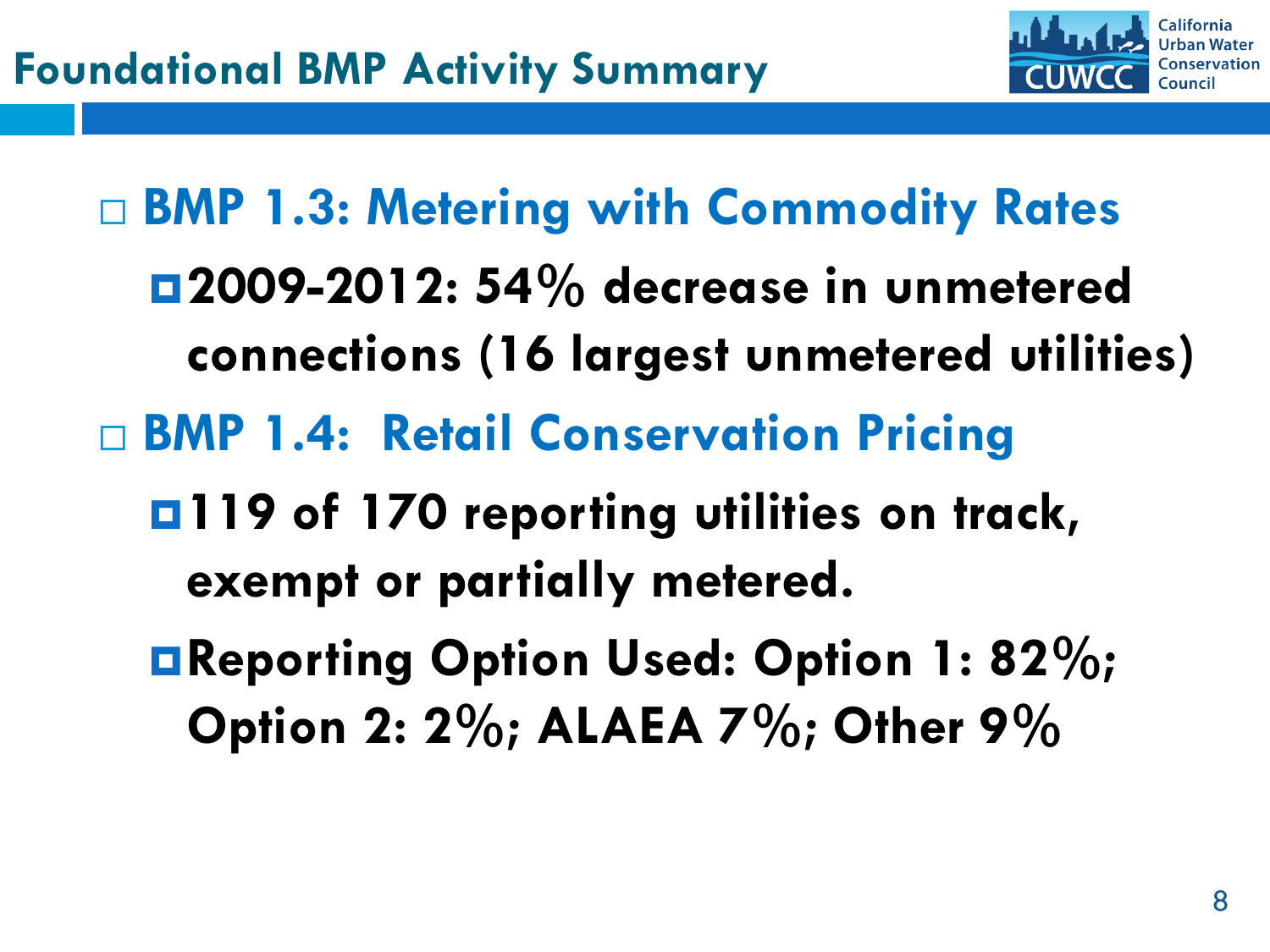

 **BMP 1.3: Metering with Commodity Rates 2009-2012: 54% decrease in unmetered connections (16 largest unmetered utilities) BMP 1.4: Retail Conservation Pricing 119 of 170 reporting utilities on track, exempt or partially metered. Reporting Option Used: Option 1: 82%; Option 2: 2%; ALAEA 7%; Other 9%**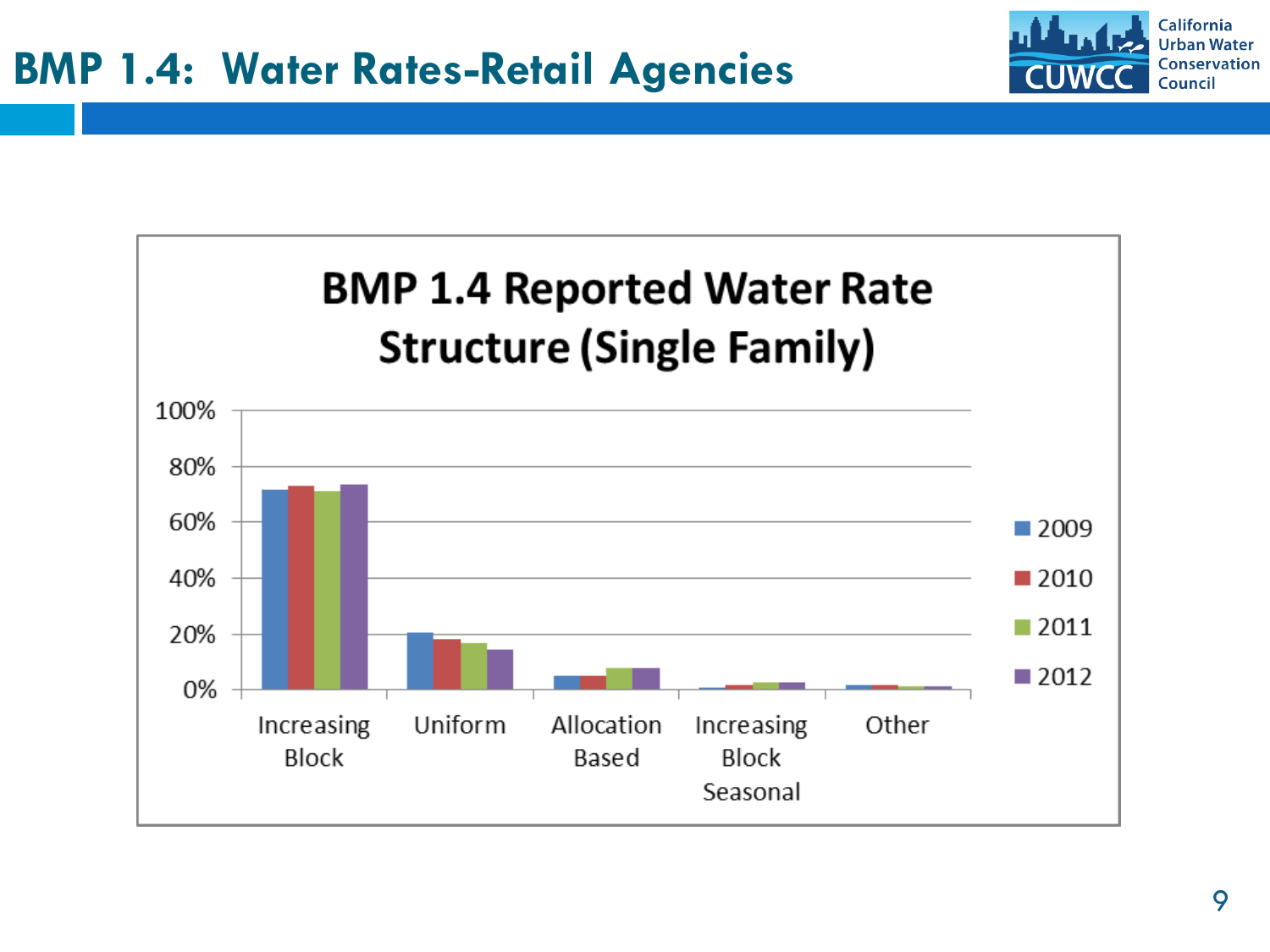

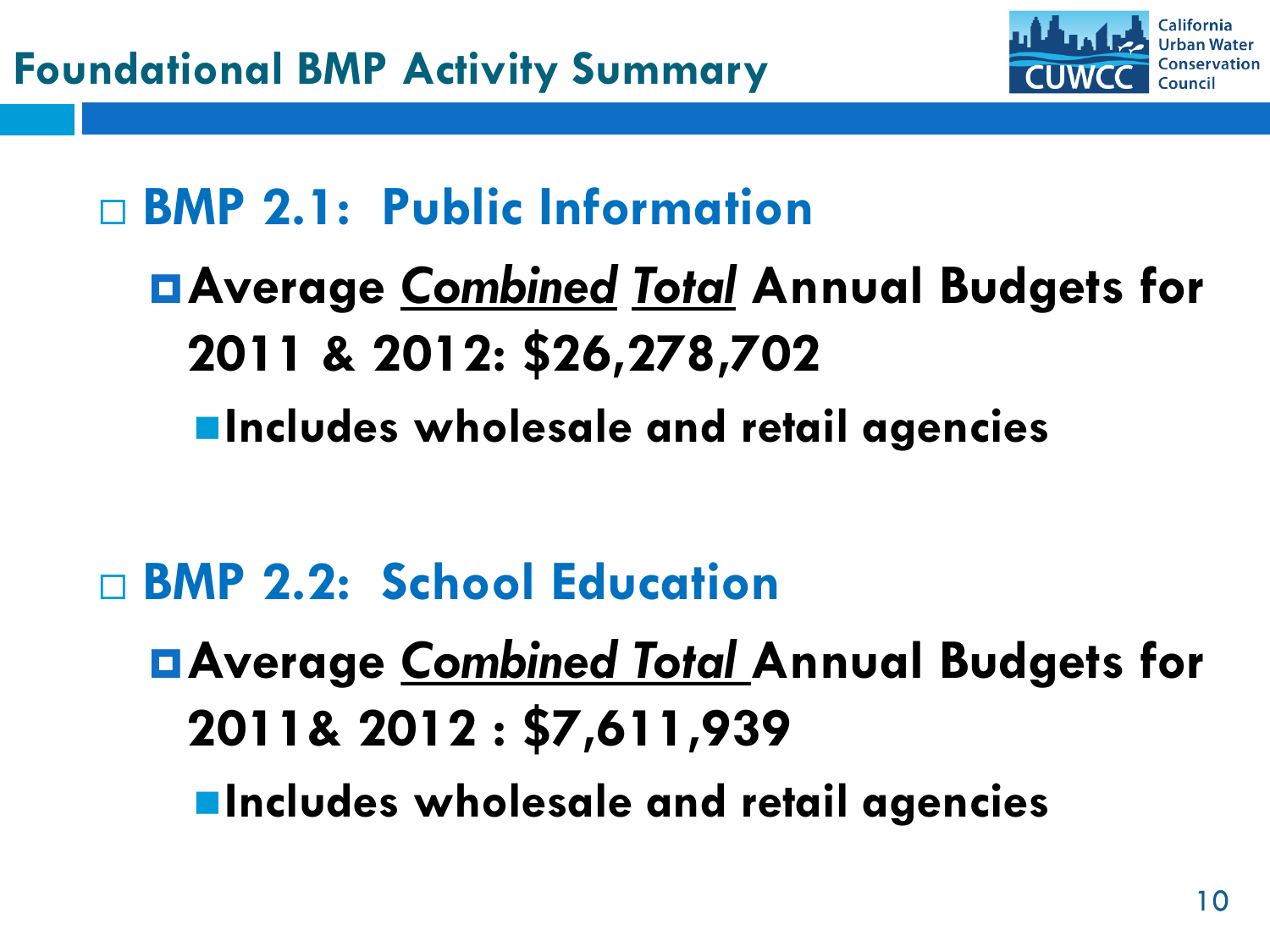

## **BMP 2.1: Public Information**

**Average** *Combined Total* **Annual Budgets for 2011 & 2012: \$26,278,702 Includes wholesale and retail agencies**

- **BMP 2.2: School Education**
	- **Average** *Combined Total* **Annual Budgets for 2011& 2012 : \$7,611,939**
		- **Includes wholesale and retail agencies**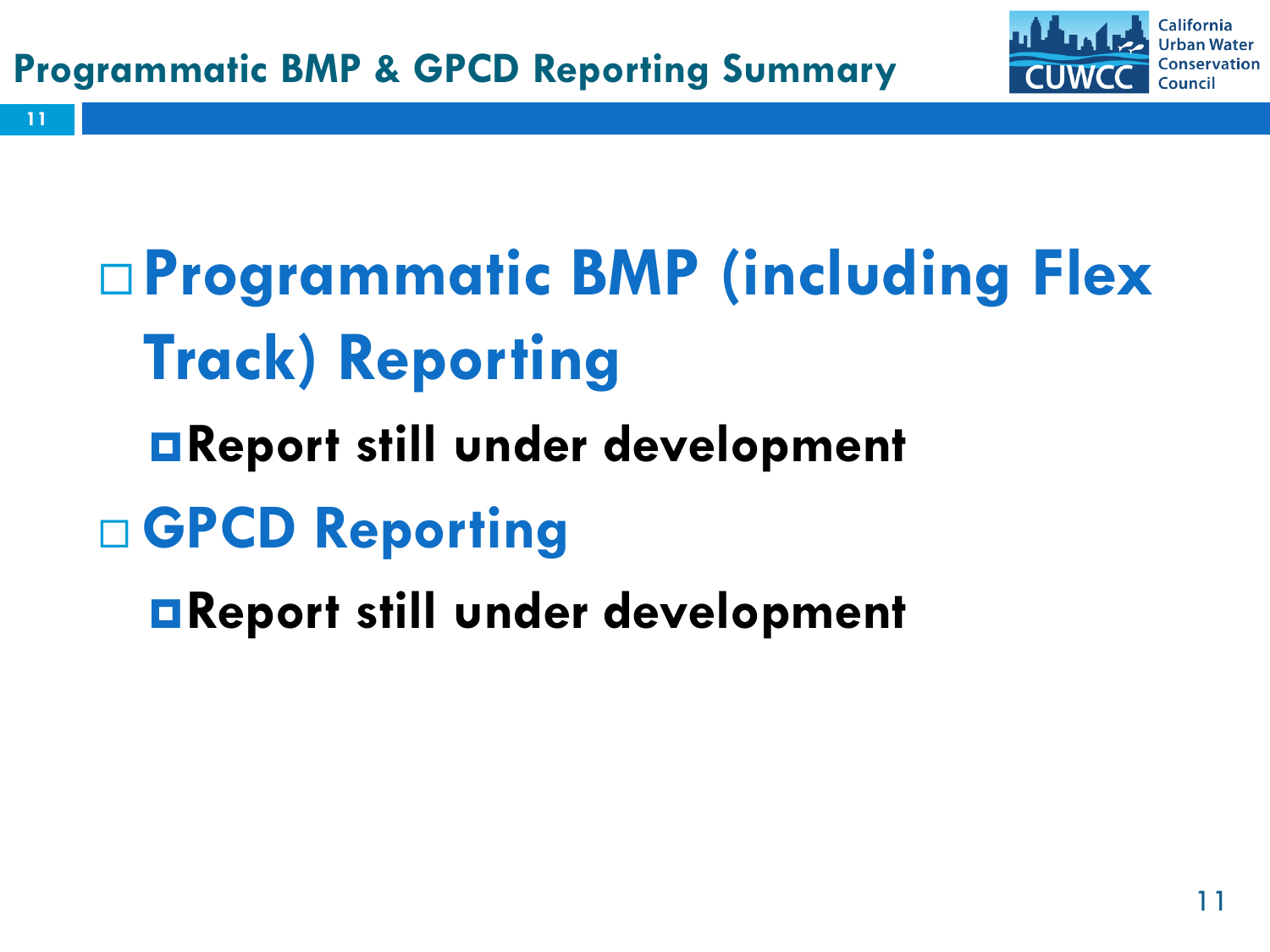

 **Programmatic BMP (including Flex Track) Reporting**

- **Report still under development**
- **GPCD Reporting**

**11**

**Report still under development**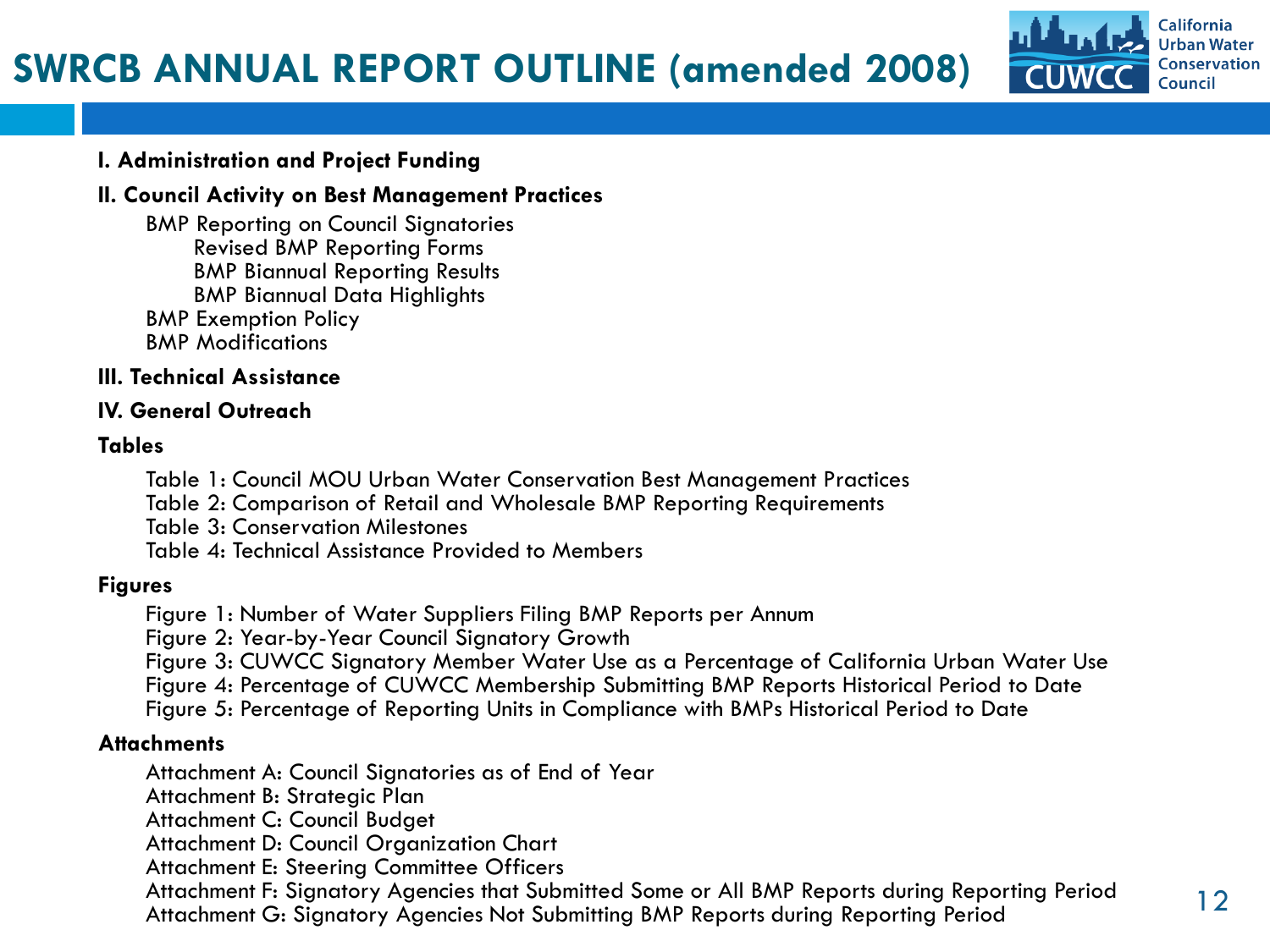### **SWRCB ANNUAL REPORT OUTLINE (amended 2008)**



#### **I. Administration and Project Funding**

#### **II. Council Activity on Best Management Practices**

 BMP Reporting on Council Signatories Revised BMP Reporting Forms BMP Biannual Reporting Results BMP Biannual Data Highlights BMP Exemption Policy BMP Modifications

#### **III. Technical Assistance**

#### **IV. General Outreach**

#### **Tables**

Table 1: Council MOU Urban Water Conservation Best Management Practices

Table 2: Comparison of Retail and Wholesale BMP Reporting Requirements

Table 3: Conservation Milestones

Table 4: Technical Assistance Provided to Members

#### **Figures**

Figure 1: Number of Water Suppliers Filing BMP Reports per Annum

Figure 2: Year-by-Year Council Signatory Growth

 Figure 3: CUWCC Signatory Member Water Use as a Percentage of California Urban Water Use Figure 4: Percentage of CUWCC Membership Submitting BMP Reports Historical Period to Date Figure 5: Percentage of Reporting Units in Compliance with BMPs Historical Period to Date

#### **Attachments**

Attachment A: Council Signatories as of End of Year

Attachment B: Strategic Plan

Attachment C: Council Budget

Attachment D: Council Organization Chart

Attachment E: Steering Committee Officers

 Attachment F: Signatory Agencies that Submitted Some or All BMP Reports during Reporting Period Attachment F: Signatory Agencies that Submitted Some or All b/WP Reports during Reporting Period Table 12<br>Attachment G: Signatory Agencies Not Submitting BMP Reports during Reporting Period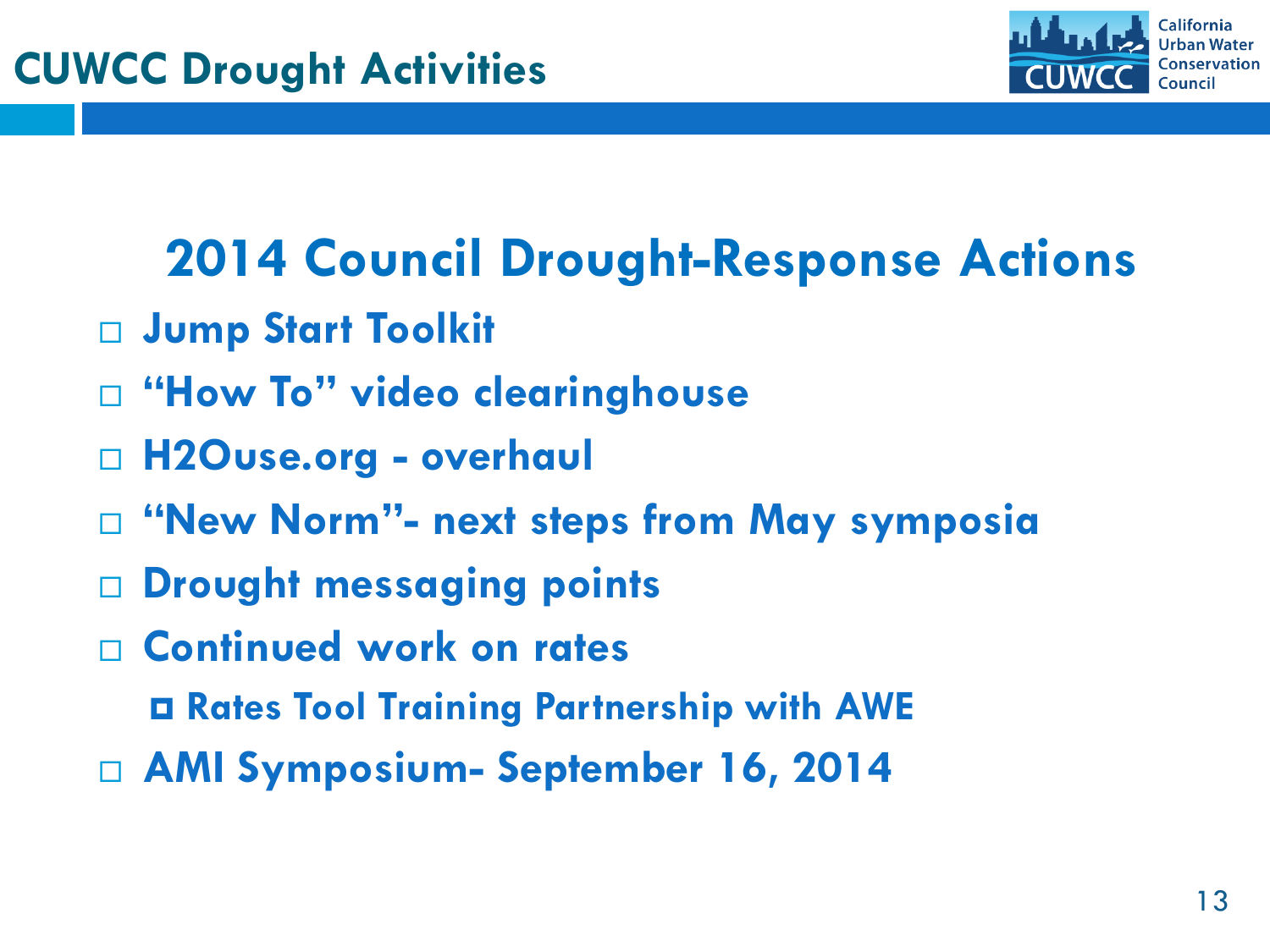

## **2014 Council Drought-Response Actions**

- **Jump Start Toolkit**
- **"How To" video clearinghouse**
- **H2Ouse.org - overhaul**
- **"New Norm"- next steps from May symposia**
- **Drought messaging points**
- **Continued work on rates**
	- **Rates Tool Training Partnership with AWE**
- **AMI Symposium- September 16, 2014**